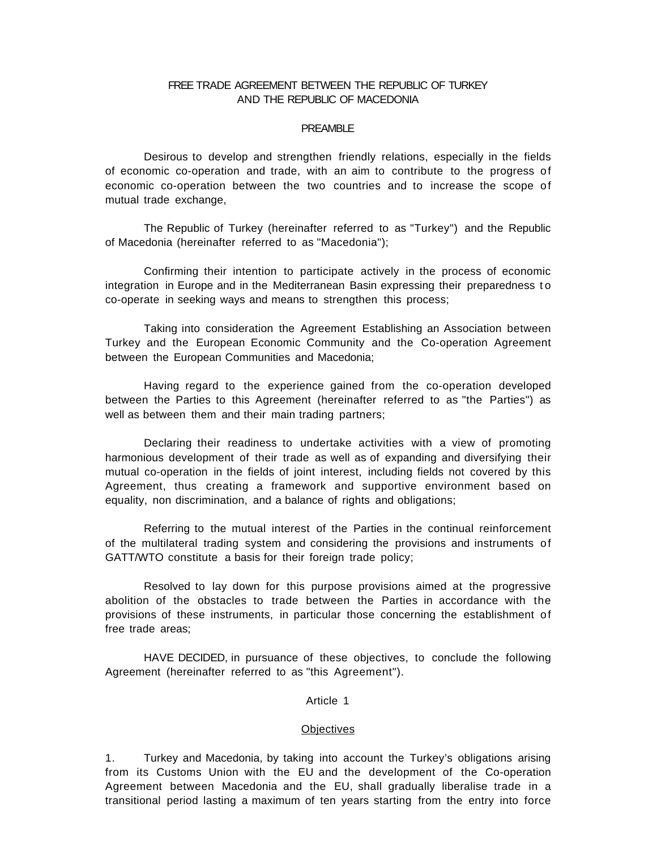### FREE TRADE AGREEMENT BETWEEN THE REPUBLIC OF TURKEY AND THE REPUBLIC OF MACEDONIA

#### PREAMBLE

Desirous to develop and strengthen friendly relations, especially in the fields of economic co-operation and trade, with an aim to contribute to the progress of economic co-operation between the two countries and to increase the scope of mutual trade exchange,

The Republic of Turkey (hereinafter referred to as "Turkey") and the Republic of Macedonia (hereinafter referred to as "Macedonia");

Confirming their intention to participate actively in the process of economic integration in Europe and in the Mediterranean Basin expressing their preparedness to co-operate in seeking ways and means to strengthen this process;

Taking into consideration the Agreement Establishing an Association between Turkey and the European Economic Community and the Co-operation Agreement between the European Communities and Macedonia;

Having regard to the experience gained from the co-operation developed between the Parties to this Agreement (hereinafter referred to as "the Parties") as well as between them and their main trading partners;

Declaring their readiness to undertake activities with a view of promoting harmonious development of their trade as well as of expanding and diversifying their mutual co-operation in the fields of joint interest, including fields not covered by this Agreement, thus creating a framework and supportive environment based on equality, non discrimination, and a balance of rights and obligations;

Referring to the mutual interest of the Parties in the continual reinforcement of the multilateral trading system and considering the provisions and instruments of GATT/WTO constitute a basis for their foreign trade policy;

Resolved to lay down for this purpose provisions aimed at the progressive abolition of the obstacles to trade between the Parties in accordance with the provisions of these instruments, in particular those concerning the establishment of free trade areas;

HAVE DECIDED, in pursuance of these objectives, to conclude the following Agreement (hereinafter referred to as "this Agreement").

#### Article 1

#### **Objectives**

1. Turkey and Macedonia, by taking into account the Turkey's obligations arising from its Customs Union with the EU and the development of the Co-operation Agreement between Macedonia and the EU, shall gradually liberalise trade in a transitional period lasting a maximum of ten years starting from the entry into force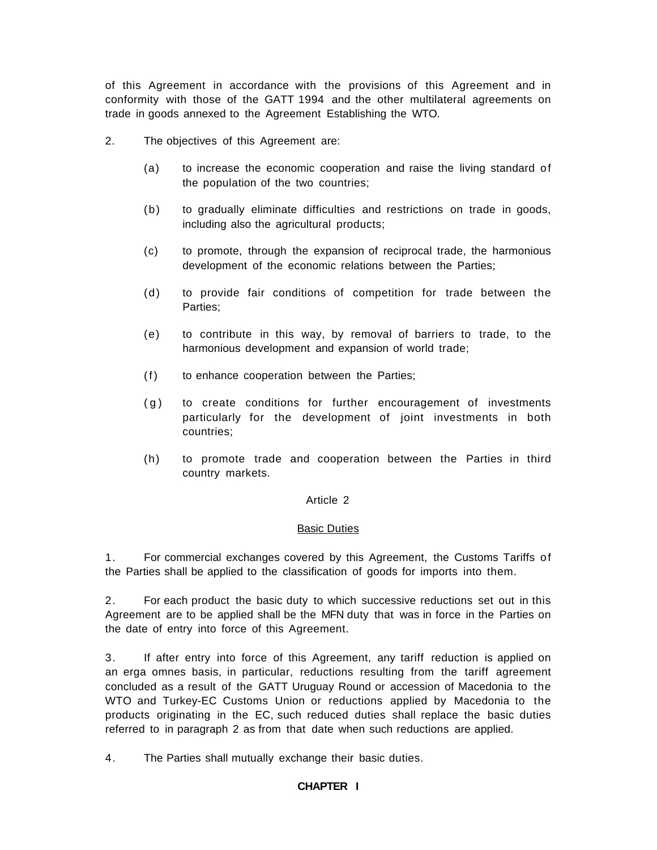of this Agreement in accordance with the provisions of this Agreement and in conformity with those of the GATT 1994 and the other multilateral agreements on trade in goods annexed to the Agreement Establishing the WTO.

- 2. The objectives of this Agreement are:
	- (a) to increase the economic cooperation and raise the living standard of the population of the two countries;
	- (b) to gradually eliminate difficulties and restrictions on trade in goods, including also the agricultural products;
	- (c) to promote, through the expansion of reciprocal trade, the harmonious development of the economic relations between the Parties;
	- (d) to provide fair conditions of competition for trade between the Parties;
	- (e) to contribute in this way, by removal of barriers to trade, to the harmonious development and expansion of world trade;
	- (f) to enhance cooperation between the Parties;
	- (g) to create conditions for further encouragement of investments particularly for the development of joint investments in both countries;
	- (h) to promote trade and cooperation between the Parties in third country markets.

#### Article 2

#### Basic Duties

1. For commercial exchanges covered by this Agreement, the Customs Tariffs of the Parties shall be applied to the classification of goods for imports into them.

2. For each product the basic duty to which successive reductions set out in this Agreement are to be applied shall be the MFN duty that was in force in the Parties on the date of entry into force of this Agreement.

3. If after entry into force of this Agreement, any tariff reduction is applied on an erga omnes basis, in particular, reductions resulting from the tariff agreement concluded as a result of the GATT Uruguay Round or accession of Macedonia to the WTO and Turkey-EC Customs Union or reductions applied by Macedonia to the products originating in the EC, such reduced duties shall replace the basic duties referred to in paragraph 2 as from that date when such reductions are applied.

4. The Parties shall mutually exchange their basic duties.

### **CHAPTER I**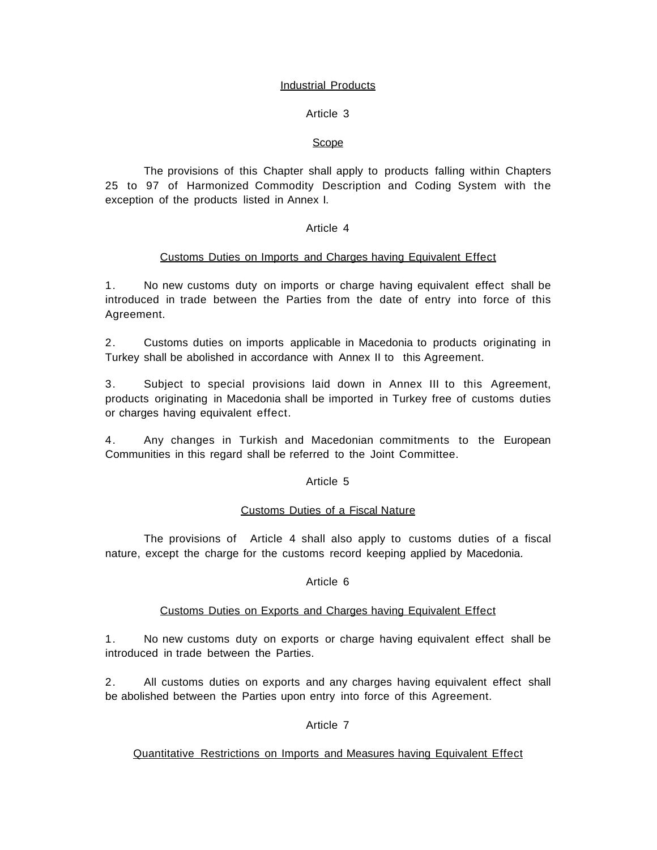# Industrial Products

# Article 3

# **Scope**

The provisions of this Chapter shall apply to products falling within Chapters 25 to 97 of Harmonized Commodity Description and Coding System with the exception of the products listed in Annex I.

# Article 4

# Customs Duties on Imports and Charges having Equivalent Effect

1. No new customs duty on imports or charge having equivalent effect shall be introduced in trade between the Parties from the date of entry into force of this Agreement.

2. Customs duties on imports applicable in Macedonia to products originating in Turkey shall be abolished in accordance with Annex II to this Agreement.

3. Subject to special provisions laid down in Annex III to this Agreement, products originating in Macedonia shall be imported in Turkey free of customs duties or charges having equivalent effect.

4. Any changes in Turkish and Macedonian commitments to the European Communities in this regard shall be referred to the Joint Committee.

# Article 5

# Customs Duties of a Fiscal Nature

The provisions of Article 4 shall also apply to customs duties of a fiscal nature, except the charge for the customs record keeping applied by Macedonia.

# Article 6

# Customs Duties on Exports and Charges having Equivalent Effect

1. No new customs duty on exports or charge having equivalent effect shall be introduced in trade between the Parties.

2. All customs duties on exports and any charges having equivalent effect shall be abolished between the Parties upon entry into force of this Agreement.

# Article 7

# Quantitative Restrictions on Imports and Measures having Equivalent Effect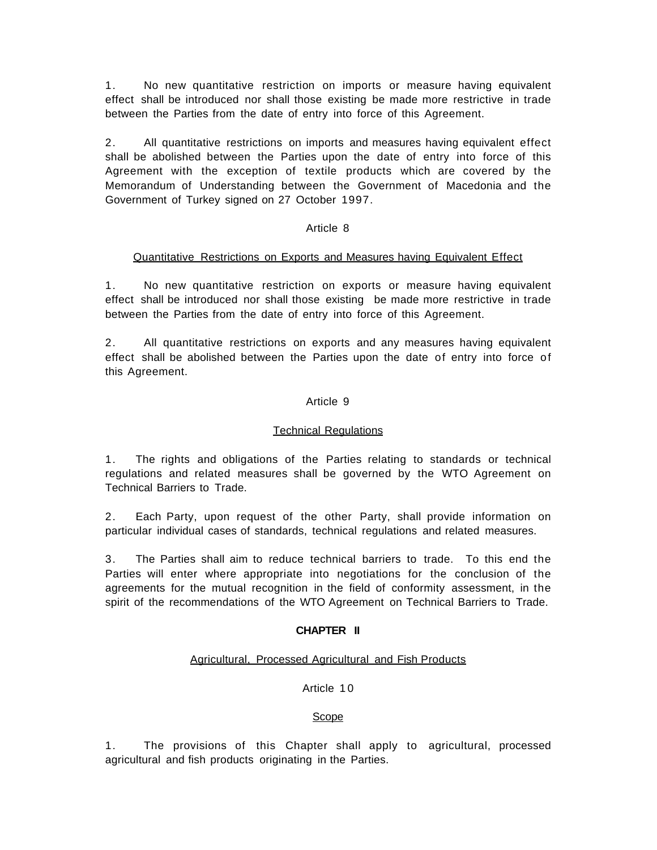1. No new quantitative restriction on imports or measure having equivalent effect shall be introduced nor shall those existing be made more restrictive in trade between the Parties from the date of entry into force of this Agreement.

2. All quantitative restrictions on imports and measures having equivalent effect shall be abolished between the Parties upon the date of entry into force of this Agreement with the exception of textile products which are covered by the Memorandum of Understanding between the Government of Macedonia and the Government of Turkey signed on 27 October 1997.

# Article 8

# Quantitative Restrictions on Exports and Measures having Equivalent Effect

1. No new quantitative restriction on exports or measure having equivalent effect shall be introduced nor shall those existing be made more restrictive in trade between the Parties from the date of entry into force of this Agreement.

2. All quantitative restrictions on exports and any measures having equivalent effect shall be abolished between the Parties upon the date of entry into force of this Agreement.

# Article 9

# Technical Regulations

1. The rights and obligations of the Parties relating to standards or technical regulations and related measures shall be governed by the WTO Agreement on Technical Barriers to Trade.

2. Each Party, upon request of the other Party, shall provide information on particular individual cases of standards, technical regulations and related measures.

3. The Parties shall aim to reduce technical barriers to trade. To this end the Parties will enter where appropriate into negotiations for the conclusion of the agreements for the mutual recognition in the field of conformity assessment, in the spirit of the recommendations of the WTO Agreement on Technical Barriers to Trade.

# **CHAPTER II**

# Agricultural, Processed Agricultural and Fish Products

# Article 1 0

# Scope

1. The provisions of this Chapter shall apply to agricultural, processed agricultural and fish products originating in the Parties.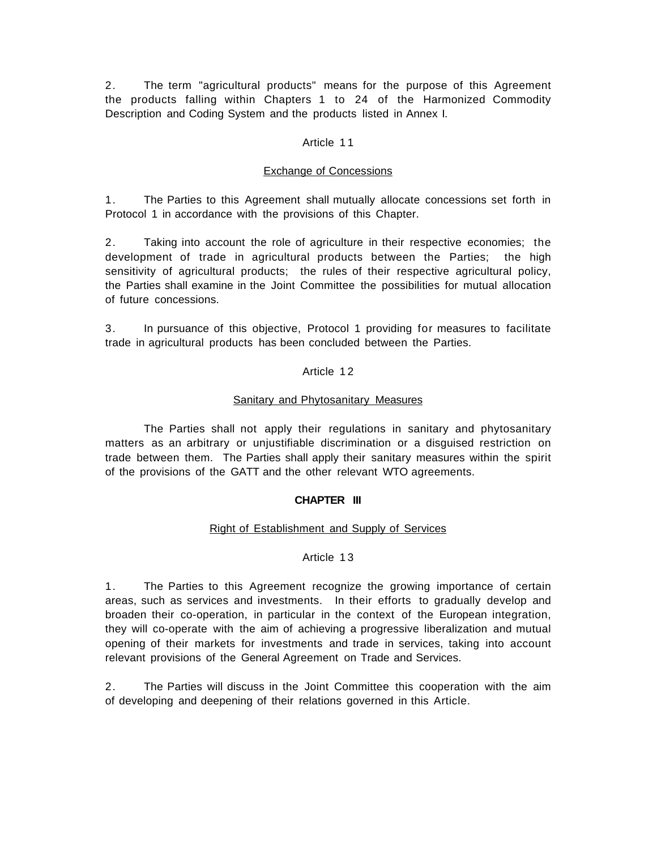2. The term "agricultural products" means for the purpose of this Agreement the products falling within Chapters 1 to 24 of the Harmonized Commodity Description and Coding System and the products listed in Annex I.

# Article 1 1

# Exchange of Concessions

1. The Parties to this Agreement shall mutually allocate concessions set forth in Protocol 1 in accordance with the provisions of this Chapter.

2. Taking into account the role of agriculture in their respective economies; the development of trade in agricultural products between the Parties; the high sensitivity of agricultural products; the rules of their respective agricultural policy, the Parties shall examine in the Joint Committee the possibilities for mutual allocation of future concessions.

3. In pursuance of this objective, Protocol 1 providing for measures to facilitate trade in agricultural products has been concluded between the Parties.

# Article 1 2

# Sanitary and Phytosanitary Measures

The Parties shall not apply their regulations in sanitary and phytosanitary matters as an arbitrary or unjustifiable discrimination or a disguised restriction on trade between them. The Parties shall apply their sanitary measures within the spirit of the provisions of the GATT and the other relevant WTO agreements.

# **CHAPTER III**

# Right of Establishment and Supply of Services

# Article 1 3

1. The Parties to this Agreement recognize the growing importance of certain areas, such as services and investments. In their efforts to gradually develop and broaden their co-operation, in particular in the context of the European integration, they will co-operate with the aim of achieving a progressive liberalization and mutual opening of their markets for investments and trade in services, taking into account relevant provisions of the General Agreement on Trade and Services.

2. The Parties will discuss in the Joint Committee this cooperation with the aim of developing and deepening of their relations governed in this Article.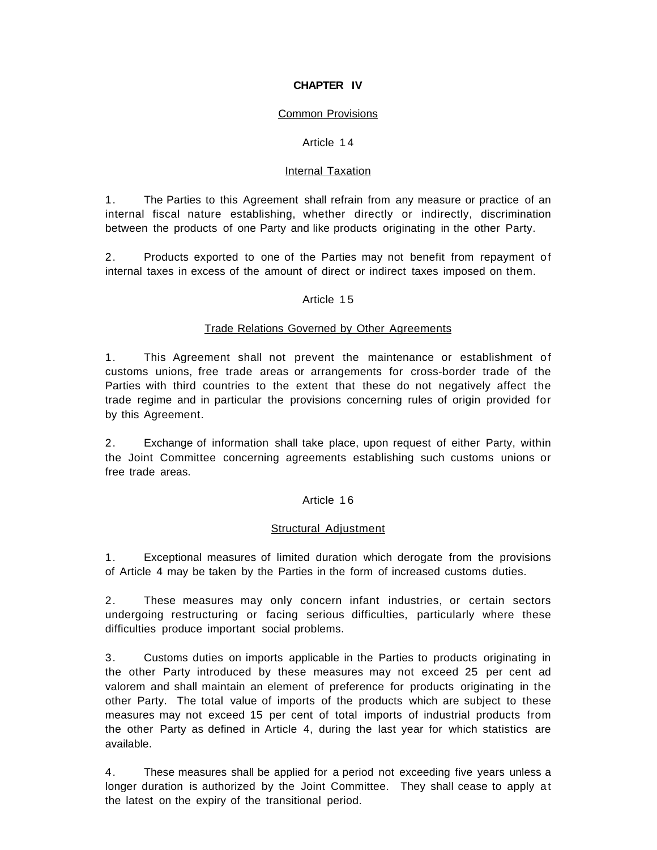# **CHAPTER IV**

# Common Provisions

### Article 1 4

### Internal Taxation

1. The Parties to this Agreement shall refrain from any measure or practice of an internal fiscal nature establishing, whether directly or indirectly, discrimination between the products of one Party and like products originating in the other Party.

2. Products exported to one of the Parties may not benefit from repayment of internal taxes in excess of the amount of direct or indirect taxes imposed on them.

#### Article 1 5

### Trade Relations Governed by Other Agreements

1. This Agreement shall not prevent the maintenance or establishment of customs unions, free trade areas or arrangements for cross-border trade of the Parties with third countries to the extent that these do not negatively affect the trade regime and in particular the provisions concerning rules of origin provided for by this Agreement.

2. Exchange of information shall take place, upon request of either Party, within the Joint Committee concerning agreements establishing such customs unions or free trade areas.

#### Article 1 6

# Structural Adjustment

1. Exceptional measures of limited duration which derogate from the provisions of Article 4 may be taken by the Parties in the form of increased customs duties.

2. These measures may only concern infant industries, or certain sectors undergoing restructuring or facing serious difficulties, particularly where these difficulties produce important social problems.

3. Customs duties on imports applicable in the Parties to products originating in the other Party introduced by these measures may not exceed 25 per cent ad valorem and shall maintain an element of preference for products originating in the other Party. The total value of imports of the products which are subject to these measures may not exceed 15 per cent of total imports of industrial products from the other Party as defined in Article 4, during the last year for which statistics are available.

4. These measures shall be applied for a period not exceeding five years unless a longer duration is authorized by the Joint Committee. They shall cease to apply at the latest on the expiry of the transitional period.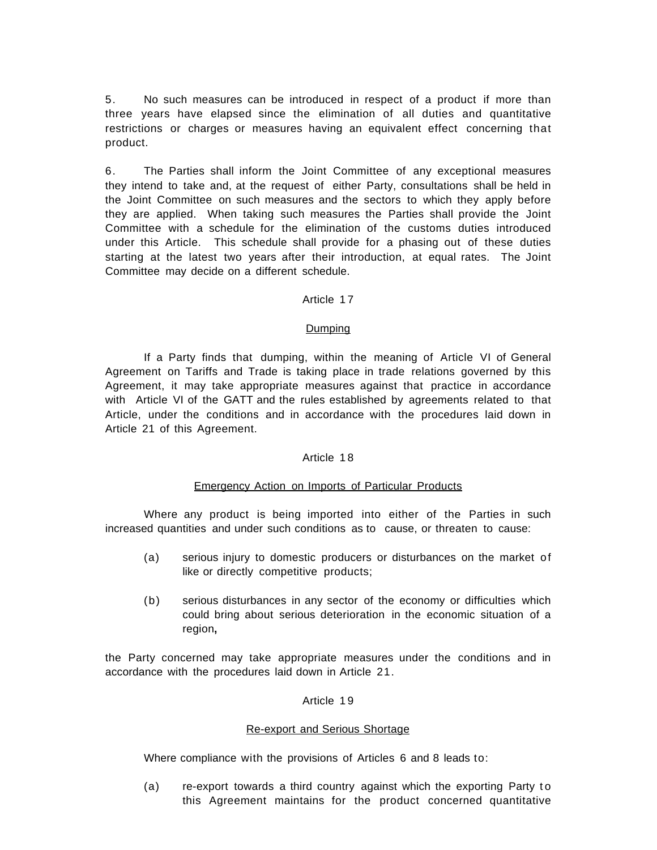5. No such measures can be introduced in respect of a product if more than three years have elapsed since the elimination of all duties and quantitative restrictions or charges or measures having an equivalent effect concerning that product.

6. The Parties shall inform the Joint Committee of any exceptional measures they intend to take and, at the request of either Party, consultations shall be held in the Joint Committee on such measures and the sectors to which they apply before they are applied. When taking such measures the Parties shall provide the Joint Committee with a schedule for the elimination of the customs duties introduced under this Article. This schedule shall provide for a phasing out of these duties starting at the latest two years after their introduction, at equal rates. The Joint Committee may decide on a different schedule.

### Article 1 7

### Dumping

If a Party finds that dumping, within the meaning of Article VI of General Agreement on Tariffs and Trade is taking place in trade relations governed by this Agreement, it may take appropriate measures against that practice in accordance with Article VI of the GATT and the rules established by agreements related to that Article, under the conditions and in accordance with the procedures laid down in Article 21 of this Agreement.

#### Article 1 8

# Emergency Action on Imports of Particular Products

Where any product is being imported into either of the Parties in such increased quantities and under such conditions as to cause, or threaten to cause:

- (a) serious injury to domestic producers or disturbances on the market of like or directly competitive products;
- (b) serious disturbances in any sector of the economy or difficulties which could bring about serious deterioration in the economic situation of a region**,**

the Party concerned may take appropriate measures under the conditions and in accordance with the procedures laid down in Article 21.

#### Article 1 9

#### Re-export and Serious Shortage

Where compliance with the provisions of Articles 6 and 8 leads to:

(a) re-export towards a third country against which the exporting Party to this Agreement maintains for the product concerned quantitative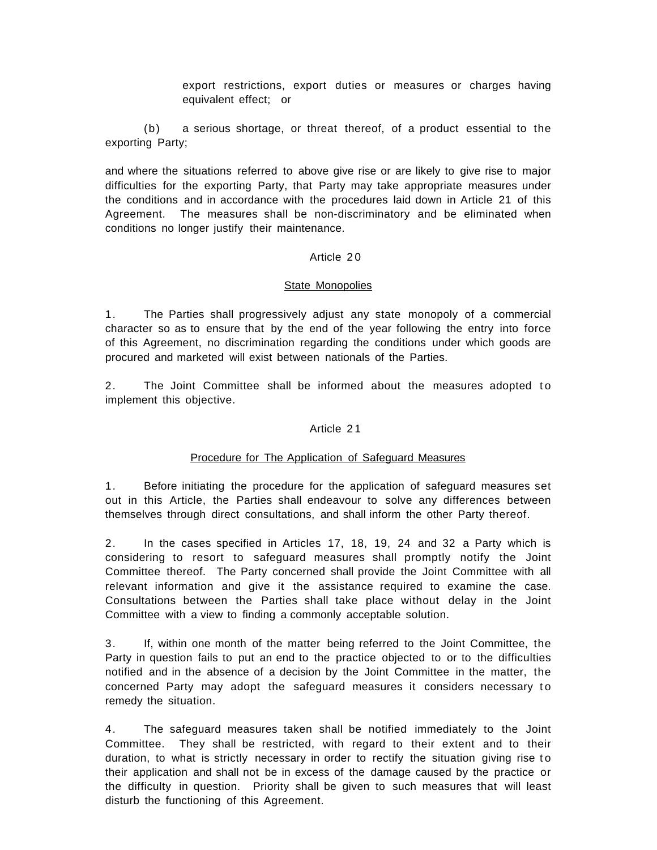export restrictions, export duties or measures or charges having equivalent effect; or

(b) a serious shortage, or threat thereof, of a product essential to the exporting Party;

and where the situations referred to above give rise or are likely to give rise to major difficulties for the exporting Party, that Party may take appropriate measures under the conditions and in accordance with the procedures laid down in Article 21 of this Agreement. The measures shall be non-discriminatory and be eliminated when conditions no longer justify their maintenance.

### Article 2 0

#### **State Monopolies**

1. The Parties shall progressively adjust any state monopoly of a commercial character so as to ensure that by the end of the year following the entry into force of this Agreement, no discrimination regarding the conditions under which goods are procured and marketed will exist between nationals of the Parties.

2. The Joint Committee shall be informed about the measures adopted to implement this objective.

### Article 2 1

# Procedure for The Application of Safeguard Measures

1. Before initiating the procedure for the application of safeguard measures set out in this Article, the Parties shall endeavour to solve any differences between themselves through direct consultations, and shall inform the other Party thereof.

2. In the cases specified in Articles 17, 18, 19, 24 and 32 a Party which is considering to resort to safeguard measures shall promptly notify the Joint Committee thereof. The Party concerned shall provide the Joint Committee with all relevant information and give it the assistance required to examine the case. Consultations between the Parties shall take place without delay in the Joint Committee with a view to finding a commonly acceptable solution.

3. If, within one month of the matter being referred to the Joint Committee, the Party in question fails to put an end to the practice objected to or to the difficulties notified and in the absence of a decision by the Joint Committee in the matter, the concerned Party may adopt the safeguard measures it considers necessary to remedy the situation.

4. The safeguard measures taken shall be notified immediately to the Joint Committee. They shall be restricted, with regard to their extent and to their duration, to what is strictly necessary in order to rectify the situation giving rise to their application and shall not be in excess of the damage caused by the practice or the difficulty in question. Priority shall be given to such measures that will least disturb the functioning of this Agreement.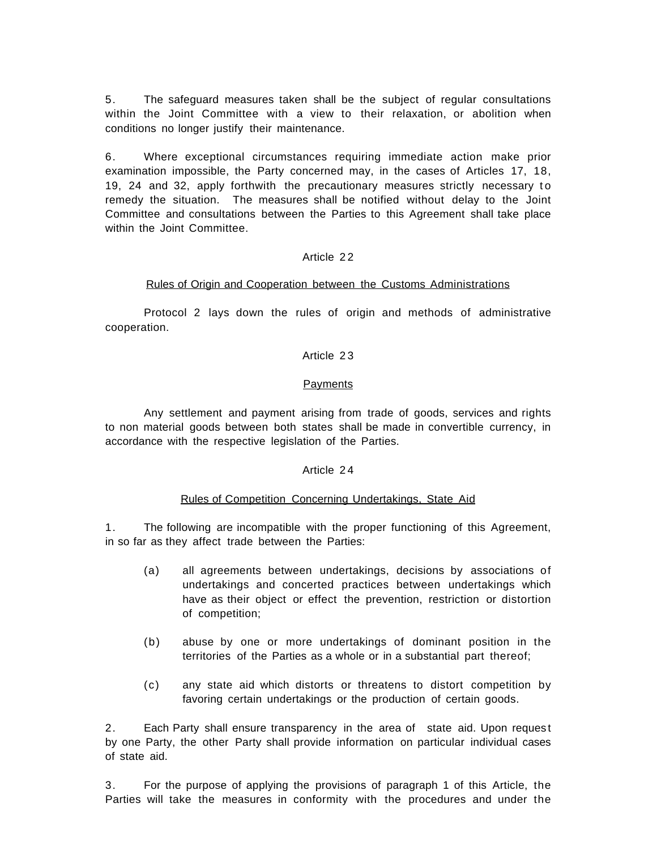5. The safeguard measures taken shall be the subject of regular consultations within the Joint Committee with a view to their relaxation, or abolition when conditions no longer justify their maintenance.

6. Where exceptional circumstances requiring immediate action make prior examination impossible, the Party concerned may, in the cases of Articles 17, 18, 19, 24 and 32, apply forthwith the precautionary measures strictly necessary to remedy the situation. The measures shall be notified without delay to the Joint Committee and consultations between the Parties to this Agreement shall take place within the Joint Committee.

### Article 2 2

#### Rules of Origin and Cooperation between the Customs Administrations

Protocol 2 lays down the rules of origin and methods of administrative cooperation.

### Article 2 3

# **Payments**

Any settlement and payment arising from trade of goods, services and rights to non material goods between both states shall be made in convertible currency, in accordance with the respective legislation of the Parties.

# Article 2 4

#### Rules of Competition Concerning Undertakings, State Aid

1. The following are incompatible with the proper functioning of this Agreement, in so far as they affect trade between the Parties:

- (a) all agreements between undertakings, decisions by associations of undertakings and concerted practices between undertakings which have as their object or effect the prevention, restriction or distortion of competition;
- (b) abuse by one or more undertakings of dominant position in the territories of the Parties as a whole or in a substantial part thereof;
- (c) any state aid which distorts or threatens to distort competition by favoring certain undertakings or the production of certain goods.

2. Each Party shall ensure transparency in the area of state aid. Upon request by one Party, the other Party shall provide information on particular individual cases of state aid.

3. For the purpose of applying the provisions of paragraph 1 of this Article, the Parties will take the measures in conformity with the procedures and under the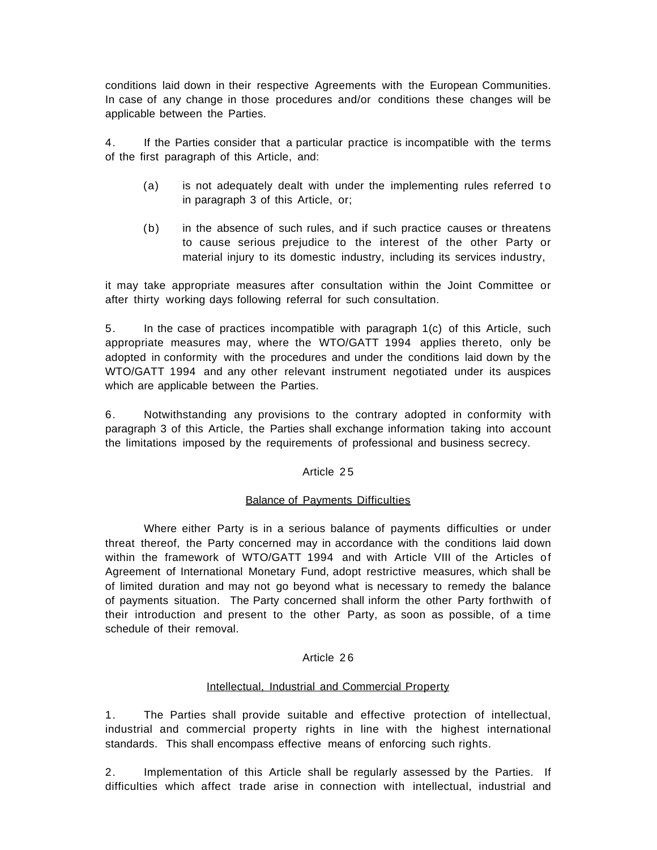conditions laid down in their respective Agreements with the European Communities. In case of any change in those procedures and/or conditions these changes will be applicable between the Parties.

4. If the Parties consider that a particular practice is incompatible with the terms of the first paragraph of this Article, and:

- (a) is not adequately dealt with under the implementing rules referred to in paragraph 3 of this Article, or;
- (b) in the absence of such rules, and if such practice causes or threatens to cause serious prejudice to the interest of the other Party or material injury to its domestic industry, including its services industry,

it may take appropriate measures after consultation within the Joint Committee or after thirty working days following referral for such consultation.

5. In the case of practices incompatible with paragraph 1(c) of this Article, such appropriate measures may, where the WTO/GATT 1994 applies thereto, only be adopted in conformity with the procedures and under the conditions laid down by the WTO/GATT 1994 and any other relevant instrument negotiated under its auspices which are applicable between the Parties.

6. Notwithstanding any provisions to the contrary adopted in conformity with paragraph 3 of this Article, the Parties shall exchange information taking into account the limitations imposed by the requirements of professional and business secrecy.

# Article 2 5

# Balance of Payments Difficulties

Where either Party is in a serious balance of payments difficulties or under threat thereof, the Party concerned may in accordance with the conditions laid down within the framework of WTO/GATT 1994 and with Article VIII of the Articles of Agreement of International Monetary Fund, adopt restrictive measures, which shall be of limited duration and may not go beyond what is necessary to remedy the balance of payments situation. The Party concerned shall inform the other Party forthwith of their introduction and present to the other Party, as soon as possible, of a time schedule of their removal.

# Article 2 6

# Intellectual, Industrial and Commercial Property

1. The Parties shall provide suitable and effective protection of intellectual, industrial and commercial property rights in line with the highest international standards. This shall encompass effective means of enforcing such rights.

2. Implementation of this Article shall be regularly assessed by the Parties. If difficulties which affect trade arise in connection with intellectual, industrial and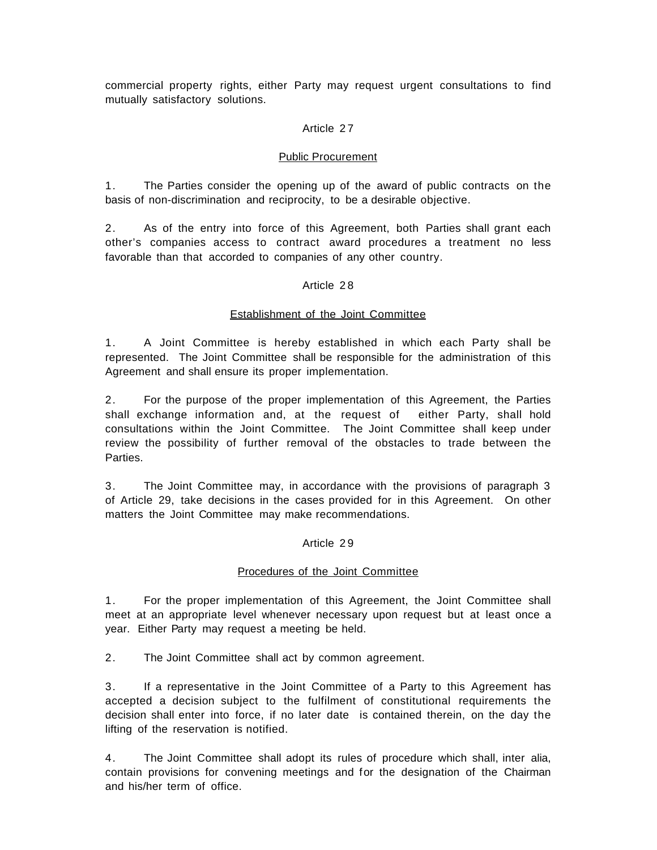commercial property rights, either Party may request urgent consultations to find mutually satisfactory solutions.

#### Article 2 7

### Public Procurement

1. The Parties consider the opening up of the award of public contracts on the basis of non-discrimination and reciprocity, to be a desirable objective.

2. As of the entry into force of this Agreement, both Parties shall grant each other's companies access to contract award procedures a treatment no less favorable than that accorded to companies of any other country.

### Article 2 8

### Establishment of the Joint Committee

1. A Joint Committee is hereby established in which each Party shall be represented. The Joint Committee shall be responsible for the administration of this Agreement and shall ensure its proper implementation.

2. For the purpose of the proper implementation of this Agreement, the Parties shall exchange information and, at the request of either Party, shall hold consultations within the Joint Committee. The Joint Committee shall keep under review the possibility of further removal of the obstacles to trade between the Parties.

3. The Joint Committee may, in accordance with the provisions of paragraph 3 of Article 29, take decisions in the cases provided for in this Agreement. On other matters the Joint Committee may make recommendations.

#### Article 2 9

# Procedures of the Joint Committee

1. For the proper implementation of this Agreement, the Joint Committee shall meet at an appropriate level whenever necessary upon request but at least once a year. Either Party may request a meeting be held.

2. The Joint Committee shall act by common agreement.

3. If a representative in the Joint Committee of a Party to this Agreement has accepted a decision subject to the fulfilment of constitutional requirements the decision shall enter into force, if no later date is contained therein, on the day the lifting of the reservation is notified.

4. The Joint Committee shall adopt its rules of procedure which shall, inter alia, contain provisions for convening meetings and for the designation of the Chairman and his/her term of office.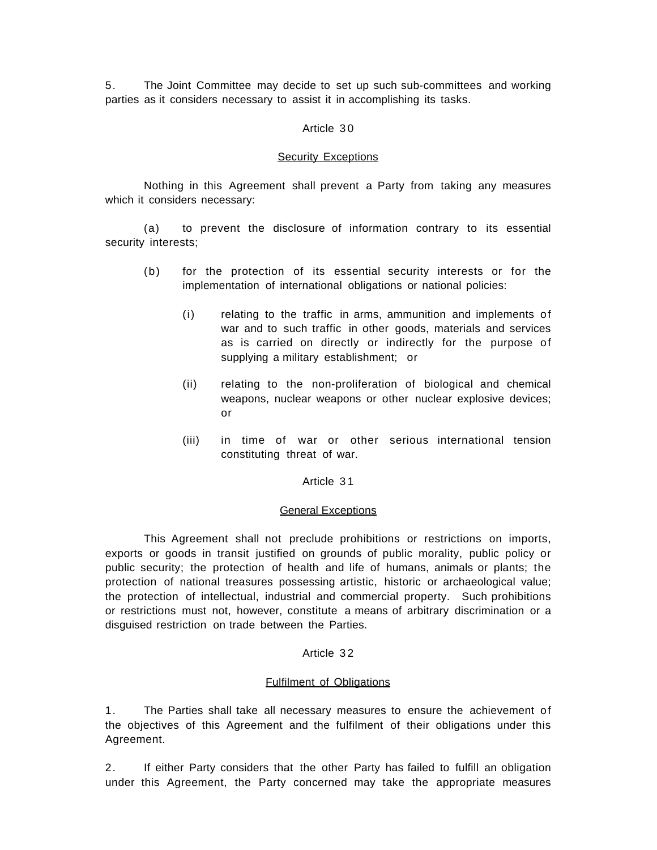5. The Joint Committee may decide to set up such sub-committees and working parties as it considers necessary to assist it in accomplishing its tasks.

#### Article 3 0

#### **Security Exceptions**

Nothing in this Agreement shall prevent a Party from taking any measures which it considers necessary:

(a) to prevent the disclosure of information contrary to its essential security interests;

- (b) for the protection of its essential security interests or for the implementation of international obligations or national policies:
	- (i) relating to the traffic in arms, ammunition and implements of war and to such traffic in other goods, materials and services as is carried on directly or indirectly for the purpose of supplying a military establishment; or
	- (ii) relating to the non-proliferation of biological and chemical weapons, nuclear weapons or other nuclear explosive devices; or
	- (iii) in time of war or other serious international tension constituting threat of war.

#### Article 3 1

#### General Exceptions

This Agreement shall not preclude prohibitions or restrictions on imports, exports or goods in transit justified on grounds of public morality, public policy or public security; the protection of health and life of humans, animals or plants; the protection of national treasures possessing artistic, historic or archaeological value; the protection of intellectual, industrial and commercial property. Such prohibitions or restrictions must not, however, constitute a means of arbitrary discrimination or a disguised restriction on trade between the Parties.

#### Article 3 2

#### Fulfilment of Obligations

1. The Parties shall take all necessary measures to ensure the achievement of the objectives of this Agreement and the fulfilment of their obligations under this Agreement.

2. If either Party considers that the other Party has failed to fulfill an obligation under this Agreement, the Party concerned may take the appropriate measures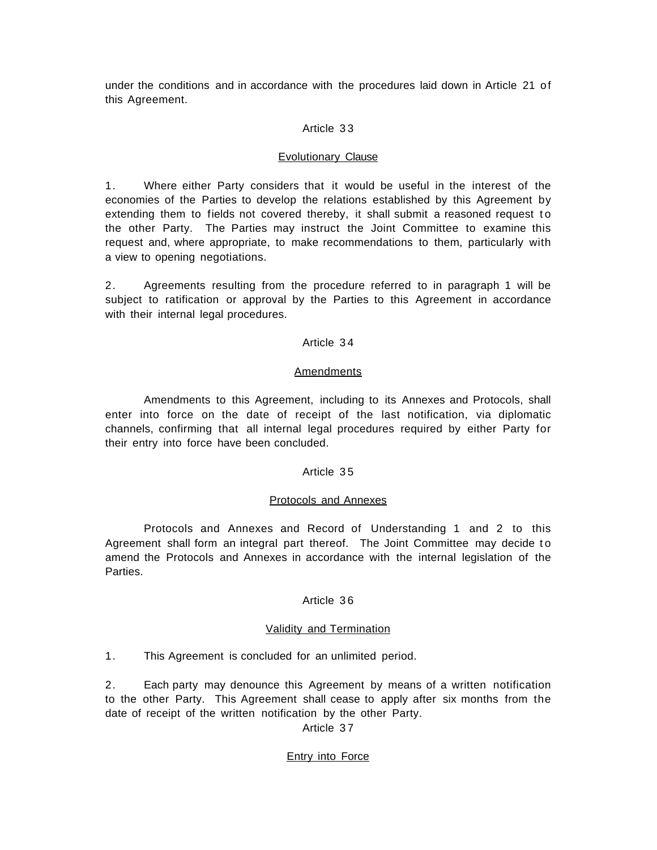under the conditions and in accordance with the procedures laid down in Article 21 of this Agreement.

### Article 3 3

### Evolutionary Clause

1. Where either Party considers that it would be useful in the interest of the economies of the Parties to develop the relations established by this Agreement by extending them to fields not covered thereby, it shall submit a reasoned request to the other Party. The Parties may instruct the Joint Committee to examine this request and, where appropriate, to make recommendations to them, particularly with a view to opening negotiations.

2. Agreements resulting from the procedure referred to in paragraph 1 will be subject to ratification or approval by the Parties to this Agreement in accordance with their internal legal procedures.

### Article 3 4

### Amendments

Amendments to this Agreement, including to its Annexes and Protocols, shall enter into force on the date of receipt of the last notification, via diplomatic channels, confirming that all internal legal procedures required by either Party for their entry into force have been concluded.

# Article 3 5

#### Protocols and Annexes

Protocols and Annexes and Record of Understanding 1 and 2 to this Agreement shall form an integral part thereof. The Joint Committee may decide to amend the Protocols and Annexes in accordance with the internal legislation of the Parties.

#### Article 3 6

#### Validity and Termination

1. This Agreement is concluded for an unlimited period.

2. Each party may denounce this Agreement by means of a written notification to the other Party. This Agreement shall cease to apply after six months from the date of receipt of the written notification by the other Party.

Article 3 7

# **Entry into Force**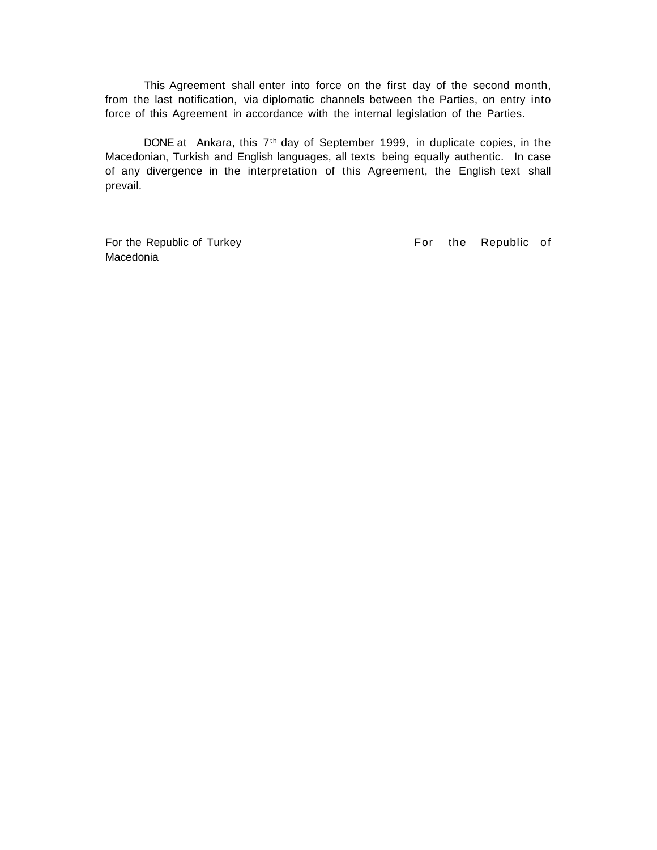This Agreement shall enter into force on the first day of the second month, from the last notification, via diplomatic channels between the Parties, on entry into force of this Agreement in accordance with the internal legislation of the Parties.

DONE at Ankara, this 7<sup>th</sup> day of September 1999, in duplicate copies, in the Macedonian, Turkish and English languages, all texts being equally authentic. In case of any divergence in the interpretation of this Agreement, the English text shall prevail.

Macedonia

For the Republic of Turkey **For the Republic of**